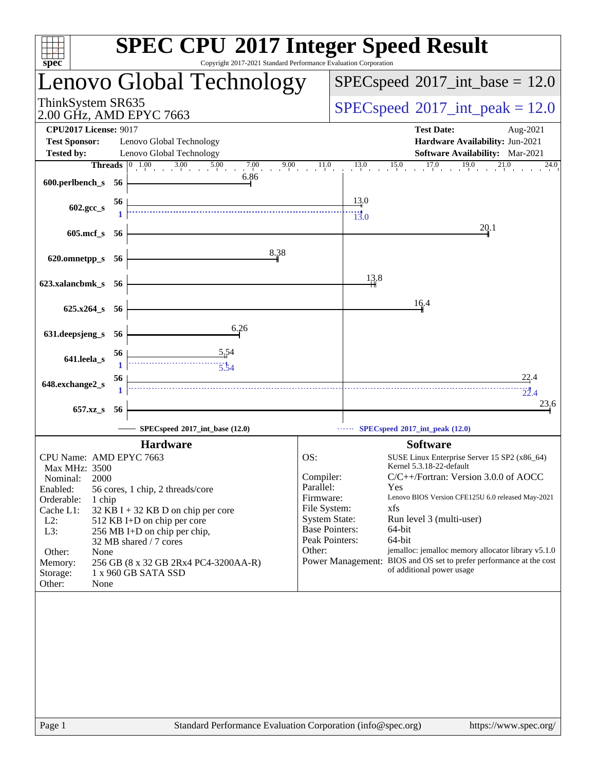| Copyright 2017-2021 Standard Performance Evaluation Corporation<br>$s\overline{p}$ ec <sup>®</sup>                                                                                                                                                                                                                                                                                                                                                        | <b>SPEC CPU®2017 Integer Speed Result</b>                                                                                                                                                                                                                                                                                                                                                                                                                                                                                                          |
|-----------------------------------------------------------------------------------------------------------------------------------------------------------------------------------------------------------------------------------------------------------------------------------------------------------------------------------------------------------------------------------------------------------------------------------------------------------|----------------------------------------------------------------------------------------------------------------------------------------------------------------------------------------------------------------------------------------------------------------------------------------------------------------------------------------------------------------------------------------------------------------------------------------------------------------------------------------------------------------------------------------------------|
| Lenovo Global Technology                                                                                                                                                                                                                                                                                                                                                                                                                                  | $SPEC speed^{\circ}2017\_int\_base = 12.0$                                                                                                                                                                                                                                                                                                                                                                                                                                                                                                         |
| ThinkSystem SR635<br>2.00 GHz, AMD EPYC 7663                                                                                                                                                                                                                                                                                                                                                                                                              | $SPEC speed^{\circ}2017\_int\_peak = 12.0$                                                                                                                                                                                                                                                                                                                                                                                                                                                                                                         |
| <b>CPU2017 License: 9017</b><br><b>Test Sponsor:</b><br>Lenovo Global Technology                                                                                                                                                                                                                                                                                                                                                                          | <b>Test Date:</b><br>Aug-2021<br>Hardware Availability: Jun-2021                                                                                                                                                                                                                                                                                                                                                                                                                                                                                   |
| Lenovo Global Technology<br><b>Tested by:</b>                                                                                                                                                                                                                                                                                                                                                                                                             | Software Availability: Mar-2021                                                                                                                                                                                                                                                                                                                                                                                                                                                                                                                    |
| <b>Threads</b> $\begin{array}{ccc c} 0 & 1.00 & 3.00 & 5.00 & 7.00 & 9.00 & 11.0 \\ \end{array}$                                                                                                                                                                                                                                                                                                                                                          | $13.0$ $15.0$ $17.0$<br>19.0<br>24.0                                                                                                                                                                                                                                                                                                                                                                                                                                                                                                               |
| 6.86<br>600.perlbench_s 56                                                                                                                                                                                                                                                                                                                                                                                                                                |                                                                                                                                                                                                                                                                                                                                                                                                                                                                                                                                                    |
| 56<br>602.gcc_s                                                                                                                                                                                                                                                                                                                                                                                                                                           | 13.0<br>$\frac{1}{13.0}$                                                                                                                                                                                                                                                                                                                                                                                                                                                                                                                           |
| $605$ .mcf_s<br>-56                                                                                                                                                                                                                                                                                                                                                                                                                                       | 20.1                                                                                                                                                                                                                                                                                                                                                                                                                                                                                                                                               |
| 8.38<br>620.omnetpp_s 56                                                                                                                                                                                                                                                                                                                                                                                                                                  |                                                                                                                                                                                                                                                                                                                                                                                                                                                                                                                                                    |
| 623.xalancbmk_s 56                                                                                                                                                                                                                                                                                                                                                                                                                                        | 13,8                                                                                                                                                                                                                                                                                                                                                                                                                                                                                                                                               |
| $625.x264$ s 56                                                                                                                                                                                                                                                                                                                                                                                                                                           | 16.4                                                                                                                                                                                                                                                                                                                                                                                                                                                                                                                                               |
| 6.26<br>631.deepsjeng_s<br>-56                                                                                                                                                                                                                                                                                                                                                                                                                            |                                                                                                                                                                                                                                                                                                                                                                                                                                                                                                                                                    |
| 56<br>641.leela_s<br>$\begin{array}{c}\n\overbrace{\phantom{137}3.54}^{1} \\ \overbrace{\phantom{137}3.54}^{1} \\ \overbrace{\phantom{137}3.54}^{1} \\ \overbrace{\phantom{137}3.54}^{1} \\ \overbrace{\phantom{137}3.54}^{1} \\ \overbrace{\phantom{137}3.54}^{1} \\ \overbrace{\phantom{137}3.54}^{1} \\ \overbrace{\phantom{137}3.54}^{1} \\ \overbrace{\phantom{137}3.54}^{1} \\ \overbrace{\phantom{137}3.54}^{1} \\ \overbrace{\phantom{137}3$<br>1 |                                                                                                                                                                                                                                                                                                                                                                                                                                                                                                                                                    |
| 56<br>648.exchange2_s<br>1                                                                                                                                                                                                                                                                                                                                                                                                                                | 22.4<br>$\frac{1}{22.4}$                                                                                                                                                                                                                                                                                                                                                                                                                                                                                                                           |
| 657.xz_s<br>56                                                                                                                                                                                                                                                                                                                                                                                                                                            | 23,6                                                                                                                                                                                                                                                                                                                                                                                                                                                                                                                                               |
| SPECspeed®2017_int_base (12.0)                                                                                                                                                                                                                                                                                                                                                                                                                            | SPECspeed®2017_int_peak (12.0)                                                                                                                                                                                                                                                                                                                                                                                                                                                                                                                     |
| <b>Hardware</b>                                                                                                                                                                                                                                                                                                                                                                                                                                           | <b>Software</b>                                                                                                                                                                                                                                                                                                                                                                                                                                                                                                                                    |
| CPU Name: AMD EPYC 7663<br><b>Max MHz: 3500</b><br>2000<br>Nominal:<br>Enabled:<br>56 cores, 1 chip, 2 threads/core<br>Orderable:<br>1 chip<br>Cache L1:<br>32 KB I + 32 KB D on chip per core<br>$L2$ :<br>512 KB I+D on chip per core<br>L3:<br>256 MB I+D on chip per chip,<br>32 MB shared / 7 cores<br>Other:<br>None<br>256 GB (8 x 32 GB 2Rx4 PC4-3200AA-R)<br>Memory:<br>1 x 960 GB SATA SSD<br>Storage:<br>Other:<br>None                        | OS:<br>SUSE Linux Enterprise Server 15 SP2 (x86_64)<br>Kernel 5.3.18-22-default<br>C/C++/Fortran: Version 3.0.0 of AOCC<br>Compiler:<br>Parallel:<br>Yes<br>Lenovo BIOS Version CFE125U 6.0 released May-2021<br>Firmware:<br>File System:<br>xfs<br><b>System State:</b><br>Run level 3 (multi-user)<br><b>Base Pointers:</b><br>64-bit<br>Peak Pointers:<br>64-bit<br>Other:<br>jemalloc: jemalloc memory allocator library v5.1.0<br>BIOS and OS set to prefer performance at the cost<br><b>Power Management:</b><br>of additional power usage |
| Standard Performance Evaluation Corporation (info@spec.org)<br>Page 1                                                                                                                                                                                                                                                                                                                                                                                     | https://www.spec.org/                                                                                                                                                                                                                                                                                                                                                                                                                                                                                                                              |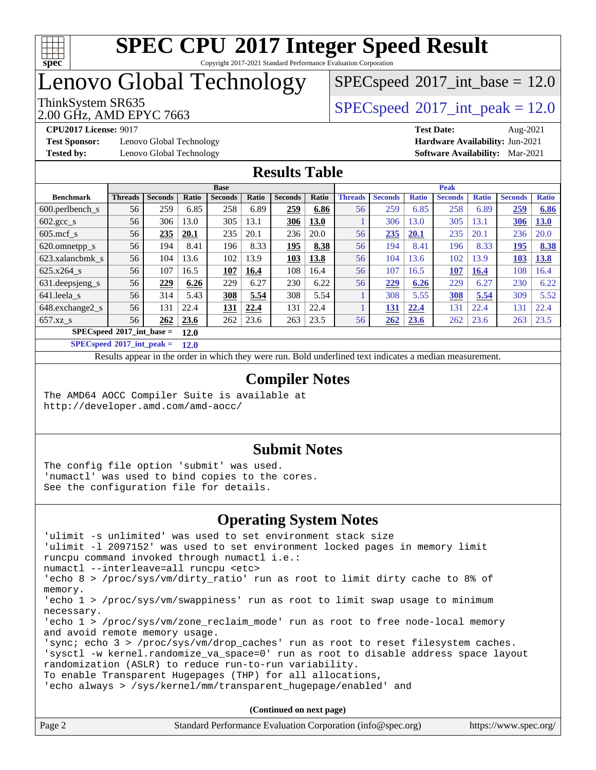

Copyright 2017-2021 Standard Performance Evaluation Corporation

# Lenovo Global Technology

2.00 GHz, AMD EPYC 7663

 $SPECspeed*2017\_int\_base = 12.0$  $SPECspeed*2017\_int\_base = 12.0$ 

ThinkSystem SR635<br>2.00 GHz, AMD EPVC 7663

**[Test Sponsor:](http://www.spec.org/auto/cpu2017/Docs/result-fields.html#TestSponsor)** Lenovo Global Technology **[Hardware Availability:](http://www.spec.org/auto/cpu2017/Docs/result-fields.html#HardwareAvailability)** Jun-2021 **[Tested by:](http://www.spec.org/auto/cpu2017/Docs/result-fields.html#Testedby)** Lenovo Global Technology **[Software Availability:](http://www.spec.org/auto/cpu2017/Docs/result-fields.html#SoftwareAvailability)** Mar-2021

**[CPU2017 License:](http://www.spec.org/auto/cpu2017/Docs/result-fields.html#CPU2017License)** 9017 **[Test Date:](http://www.spec.org/auto/cpu2017/Docs/result-fields.html#TestDate)** Aug-2021

### **[Results Table](http://www.spec.org/auto/cpu2017/Docs/result-fields.html#ResultsTable)**

|                               |                |                |       | <b>Base</b>    |       |                |       |                |                |              | <b>Peak</b>    |              |                |              |
|-------------------------------|----------------|----------------|-------|----------------|-------|----------------|-------|----------------|----------------|--------------|----------------|--------------|----------------|--------------|
| <b>Benchmark</b>              | <b>Threads</b> | <b>Seconds</b> | Ratio | <b>Seconds</b> | Ratio | <b>Seconds</b> | Ratio | <b>Threads</b> | <b>Seconds</b> | <b>Ratio</b> | <b>Seconds</b> | <b>Ratio</b> | <b>Seconds</b> | <b>Ratio</b> |
| $600.$ perlbench $\mathsf{S}$ | 56             | 259            | 6.85  | 258            | 6.89  | 259            | 6.86  | 56             | 259            | 6.85         | 258            | 6.89         | 259            | 6.86         |
| $602.\text{gcc}\s$            | 56             | 306            | 13.0  | 305            | 13.1  | 306            | 13.0  |                | 306            | 13.0         | 305            | 3.1          | 306            | <b>13.0</b>  |
| $605 \text{.mcf } s$          | 56             | 235            | 20.1  | 235            | 20.1  | 236            | 20.0  | 56             | 235            | <b>20.1</b>  | 235            | 20.1         | 236            | 20.0         |
| 620.omnetpp_s                 | 56             | 194            | 8.41  | 196            | 8.33  | 195            | 8.38  | 56             | 194            | 8.41         | 196            | 8.33         | 195            | 8.38         |
| 623.xalancbmk s               | 56             | 104            | 13.6  | 102            | 13.9  | 103            | 13.8  | 56             | 104            | 13.6         | 102            | 3.9          | 103            | 13.8         |
| 625.x264 s                    | 56             | 107            | 16.5  | 107            | 16.4  | 108            | 16.4  | 56             | 107            | 16.5         | <b>107</b>     | 16.4         | 108            | 16.4         |
| 631.deepsjeng_s               | 56             | 229            | 6.26  | 229            | 6.27  | 230            | 6.22  | 56             | 229            | 6.26         | 229            | 6.27         | 230            | 6.22         |
| 641.leela s                   | 56             | 314            | 5.43  | 308            | 5.54  | 308            | 5.54  |                | 308            | 5.55         | 308            | 5.54         | 309            | 5.52         |
| 648.exchange2 s               | 56             | 131            | 22.4  | <b>131</b>     | 22.4  | 131            | 22.4  |                | 131            | 22.4         | 131            | 22.4         | 131            | 22.4         |
| $657.xz$ s                    | 56             | 262            | 23.6  | 262            | 23.6  | 263            | 23.5  | 56             | 262            | 23.6         | 262            | 23.6         | 263            | 23.5         |
| $SPECspeed*2017$ int base =   |                |                | 12.0  |                |       |                |       |                |                |              |                |              |                |              |

**[SPECspeed](http://www.spec.org/auto/cpu2017/Docs/result-fields.html#SPECspeed2017intpeak)[2017\\_int\\_peak =](http://www.spec.org/auto/cpu2017/Docs/result-fields.html#SPECspeed2017intpeak) 12.0**

Results appear in the [order in which they were run.](http://www.spec.org/auto/cpu2017/Docs/result-fields.html#RunOrder) Bold underlined text [indicates a median measurement](http://www.spec.org/auto/cpu2017/Docs/result-fields.html#Median).

### **[Compiler Notes](http://www.spec.org/auto/cpu2017/Docs/result-fields.html#CompilerNotes)**

The AMD64 AOCC Compiler Suite is available at <http://developer.amd.com/amd-aocc/>

#### **[Submit Notes](http://www.spec.org/auto/cpu2017/Docs/result-fields.html#SubmitNotes)**

The config file option 'submit' was used. 'numactl' was used to bind copies to the cores. See the configuration file for details.

### **[Operating System Notes](http://www.spec.org/auto/cpu2017/Docs/result-fields.html#OperatingSystemNotes)**

| 'ulimit -s unlimited' was used to set environment stack size                        |
|-------------------------------------------------------------------------------------|
| 'ulimit -1 2097152' was used to set environment locked pages in memory limit        |
| runcpu command invoked through numactl i.e.:                                        |
| numactl --interleave=all runcpu <etc></etc>                                         |
| 'echo 8 > /proc/sys/vm/dirty_ratio' run as root to limit dirty cache to 8% of       |
| memory.                                                                             |
| 'echo 1 > /proc/sys/vm/swappiness' run as root to limit swap usage to minimum       |
| necessary.                                                                          |
| 'echo 1 > /proc/sys/vm/zone_reclaim_mode' run as root to free node-local memory     |
| and avoid remote memory usage.                                                      |
| 'sync; echo $3$ > /proc/sys/vm/drop caches' run as root to reset filesystem caches. |
| 'sysctl -w kernel.randomize_va_space=0' run as root to disable address space layout |
| randomization (ASLR) to reduce run-to-run variability.                              |
| To enable Transparent Hugepages (THP) for all allocations,                          |
| 'echo always > /sys/kernel/mm/transparent hugepage/enabled' and                     |
|                                                                                     |
|                                                                                     |

| Standard Performance Evaluation Corporation (info@spec.org)<br>Page 2 | https://www.spec.org/ |
|-----------------------------------------------------------------------|-----------------------|
|-----------------------------------------------------------------------|-----------------------|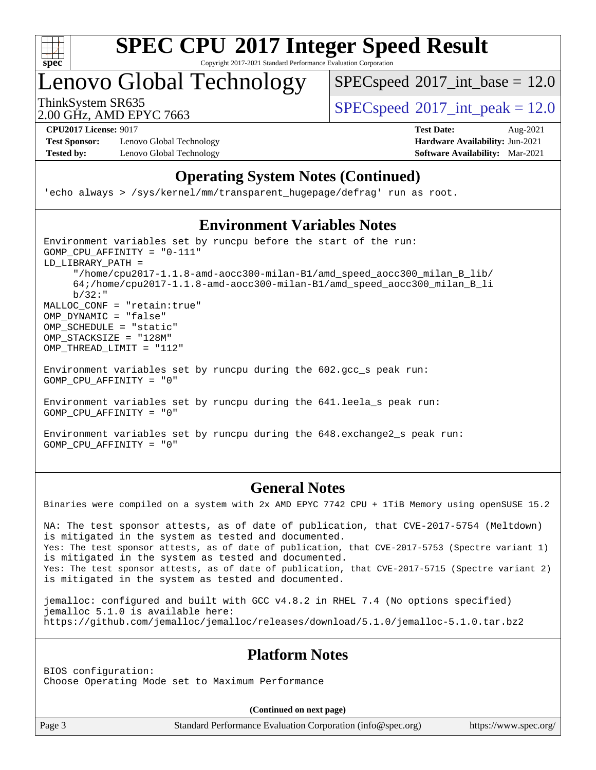

Copyright 2017-2021 Standard Performance Evaluation Corporation

Lenovo Global Technology

 $SPECspeed^{\circ}2017\_int\_base = 12.0$  $SPECspeed^{\circ}2017\_int\_base = 12.0$ 

2.00 GHz, AMD EPYC 7663

ThinkSystem SR635  $SPEC speed@2017$  int peak = 12.0

**[Test Sponsor:](http://www.spec.org/auto/cpu2017/Docs/result-fields.html#TestSponsor)** Lenovo Global Technology **[Hardware Availability:](http://www.spec.org/auto/cpu2017/Docs/result-fields.html#HardwareAvailability)** Jun-2021 **[Tested by:](http://www.spec.org/auto/cpu2017/Docs/result-fields.html#Testedby)** Lenovo Global Technology **[Software Availability:](http://www.spec.org/auto/cpu2017/Docs/result-fields.html#SoftwareAvailability)** Mar-2021

**[CPU2017 License:](http://www.spec.org/auto/cpu2017/Docs/result-fields.html#CPU2017License)** 9017 **[Test Date:](http://www.spec.org/auto/cpu2017/Docs/result-fields.html#TestDate)** Aug-2021

### **[Operating System Notes \(Continued\)](http://www.spec.org/auto/cpu2017/Docs/result-fields.html#OperatingSystemNotes)**

'echo always > /sys/kernel/mm/transparent\_hugepage/defrag' run as root.

### **[Environment Variables Notes](http://www.spec.org/auto/cpu2017/Docs/result-fields.html#EnvironmentVariablesNotes)**

Environment variables set by runcpu before the start of the run: GOMP\_CPU\_AFFINITY = "0-111" LD\_LIBRARY\_PATH = "/home/cpu2017-1.1.8-amd-aocc300-milan-B1/amd\_speed\_aocc300\_milan\_B\_lib/ 64;/home/cpu2017-1.1.8-amd-aocc300-milan-B1/amd\_speed\_aocc300\_milan\_B\_li b/32:" MALLOC\_CONF = "retain:true" OMP\_DYNAMIC = "false" OMP SCHEDULE = "static" OMP\_STACKSIZE = "128M" OMP\_THREAD\_LIMIT = "112"

Environment variables set by runcpu during the 602.gcc\_s peak run: GOMP\_CPU\_AFFINITY = "0"

Environment variables set by runcpu during the 641.leela\_s peak run: GOMP\_CPU\_AFFINITY = "0"

Environment variables set by runcpu during the 648.exchange2\_s peak run: GOMP\_CPU\_AFFINITY = "0"

#### **[General Notes](http://www.spec.org/auto/cpu2017/Docs/result-fields.html#GeneralNotes)**

Binaries were compiled on a system with 2x AMD EPYC 7742 CPU + 1TiB Memory using openSUSE 15.2

NA: The test sponsor attests, as of date of publication, that CVE-2017-5754 (Meltdown) is mitigated in the system as tested and documented. Yes: The test sponsor attests, as of date of publication, that CVE-2017-5753 (Spectre variant 1) is mitigated in the system as tested and documented. Yes: The test sponsor attests, as of date of publication, that CVE-2017-5715 (Spectre variant 2) is mitigated in the system as tested and documented.

jemalloc: configured and built with GCC v4.8.2 in RHEL 7.4 (No options specified) jemalloc 5.1.0 is available here: <https://github.com/jemalloc/jemalloc/releases/download/5.1.0/jemalloc-5.1.0.tar.bz2>

### **[Platform Notes](http://www.spec.org/auto/cpu2017/Docs/result-fields.html#PlatformNotes)**

BIOS configuration: Choose Operating Mode set to Maximum Performance

**(Continued on next page)**

Page 3 Standard Performance Evaluation Corporation [\(info@spec.org\)](mailto:info@spec.org) <https://www.spec.org/>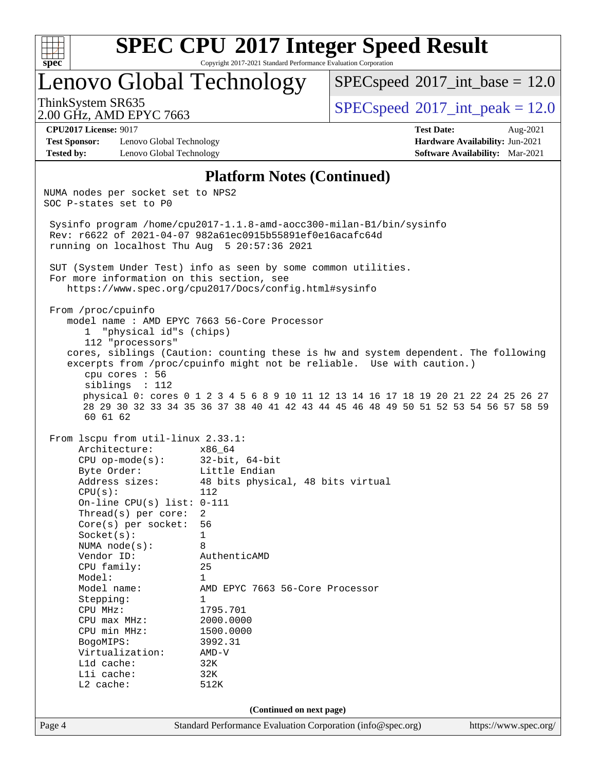

Copyright 2017-2021 Standard Performance Evaluation Corporation

Lenovo Global Technology

 $SPECspeed^{\circ}2017\_int\_base = 12.0$  $SPECspeed^{\circ}2017\_int\_base = 12.0$ 

2.00 GHz, AMD EPYC 7663

ThinkSystem SR635  $SPEC speed^{\circ}2017$ \_int\_peak = 12.0

**[Test Sponsor:](http://www.spec.org/auto/cpu2017/Docs/result-fields.html#TestSponsor)** Lenovo Global Technology **[Hardware Availability:](http://www.spec.org/auto/cpu2017/Docs/result-fields.html#HardwareAvailability)** Jun-2021 **[Tested by:](http://www.spec.org/auto/cpu2017/Docs/result-fields.html#Testedby)** Lenovo Global Technology **[Software Availability:](http://www.spec.org/auto/cpu2017/Docs/result-fields.html#SoftwareAvailability)** Mar-2021

**[CPU2017 License:](http://www.spec.org/auto/cpu2017/Docs/result-fields.html#CPU2017License)** 9017 **[Test Date:](http://www.spec.org/auto/cpu2017/Docs/result-fields.html#TestDate)** Aug-2021

#### **[Platform Notes \(Continued\)](http://www.spec.org/auto/cpu2017/Docs/result-fields.html#PlatformNotes)**

Page 4 Standard Performance Evaluation Corporation [\(info@spec.org\)](mailto:info@spec.org) <https://www.spec.org/> NUMA nodes per socket set to NPS2 SOC P-states set to P0 Sysinfo program /home/cpu2017-1.1.8-amd-aocc300-milan-B1/bin/sysinfo Rev: r6622 of 2021-04-07 982a61ec0915b55891ef0e16acafc64d running on localhost Thu Aug 5 20:57:36 2021 SUT (System Under Test) info as seen by some common utilities. For more information on this section, see <https://www.spec.org/cpu2017/Docs/config.html#sysinfo> From /proc/cpuinfo model name : AMD EPYC 7663 56-Core Processor 1 "physical id"s (chips) 112 "processors" cores, siblings (Caution: counting these is hw and system dependent. The following excerpts from /proc/cpuinfo might not be reliable. Use with caution.) cpu cores : 56 siblings : 112 physical 0: cores 0 1 2 3 4 5 6 8 9 10 11 12 13 14 16 17 18 19 20 21 22 24 25 26 27 28 29 30 32 33 34 35 36 37 38 40 41 42 43 44 45 46 48 49 50 51 52 53 54 56 57 58 59 60 61 62 From lscpu from util-linux 2.33.1: Architecture: x86\_64 CPU op-mode(s): 32-bit, 64-bit Byte Order: Little Endian Address sizes: 48 bits physical, 48 bits virtual CPU(s): 112 On-line CPU(s) list: 0-111 Thread(s) per core: 2 Core(s) per socket: 56 Socket(s): 1 NUMA node(s): 8 Vendor ID: AuthenticAMD CPU family: 25 Model: 1 Model name: AMD EPYC 7663 56-Core Processor Stepping: 1 CPU MHz: 1795.701 CPU max MHz: 2000.0000 CPU min MHz: 1500.0000 BogoMIPS: 3992.31<br>Virtualization: AMD-V Virtualization: L1d cache: 32K L1i cache: 32K L2 cache: 512K **(Continued on next page)**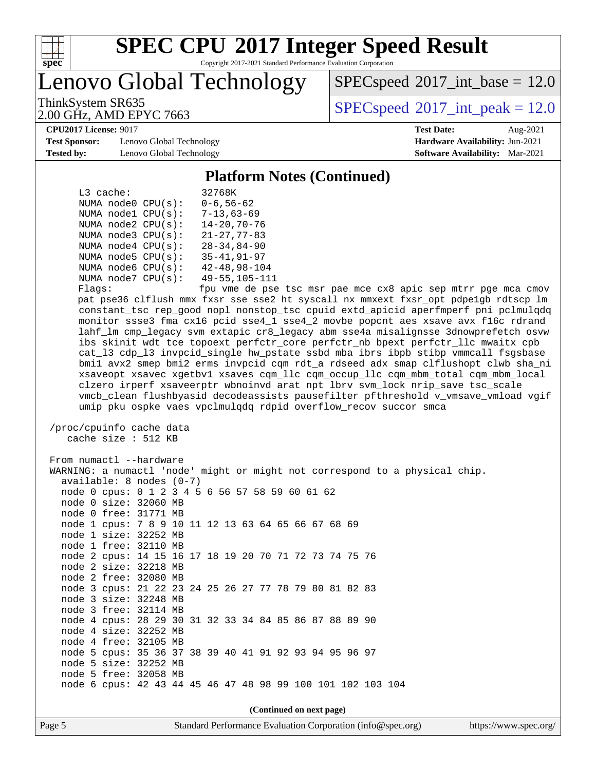

Copyright 2017-2021 Standard Performance Evaluation Corporation

Lenovo Global Technology

 $SPECspeed^{\circ}2017\_int\_base = 12.0$  $SPECspeed^{\circ}2017\_int\_base = 12.0$ 

2.00 GHz, AMD EPYC 7663

ThinkSystem SR635  $SPEC speed^{\circ}2017$ \_int\_peak = 12.0

#### **[CPU2017 License:](http://www.spec.org/auto/cpu2017/Docs/result-fields.html#CPU2017License)** 9017 **[Test Date:](http://www.spec.org/auto/cpu2017/Docs/result-fields.html#TestDate)** Aug-2021

**[Test Sponsor:](http://www.spec.org/auto/cpu2017/Docs/result-fields.html#TestSponsor)** Lenovo Global Technology **[Hardware Availability:](http://www.spec.org/auto/cpu2017/Docs/result-fields.html#HardwareAvailability)** Jun-2021 **[Tested by:](http://www.spec.org/auto/cpu2017/Docs/result-fields.html#Testedby)** Lenovo Global Technology **[Software Availability:](http://www.spec.org/auto/cpu2017/Docs/result-fields.html#SoftwareAvailability)** Mar-2021

#### **[Platform Notes \(Continued\)](http://www.spec.org/auto/cpu2017/Docs/result-fields.html#PlatformNotes)**

| L3 cache:                                                                                                                                                                                                                                                                                                                                                                                                                                                                                  | 32768K               |
|--------------------------------------------------------------------------------------------------------------------------------------------------------------------------------------------------------------------------------------------------------------------------------------------------------------------------------------------------------------------------------------------------------------------------------------------------------------------------------------------|----------------------|
| NUMA node0 CPU(s):                                                                                                                                                                                                                                                                                                                                                                                                                                                                         | $0 - 6, 56 - 62$     |
| NUMA nodel CPU(s):                                                                                                                                                                                                                                                                                                                                                                                                                                                                         | $7 - 13.63 - 69$     |
| NUMA $node2$ $CPU(s)$ :                                                                                                                                                                                                                                                                                                                                                                                                                                                                    | $14 - 20, 70 - 76$   |
| NUMA node3 CPU(s):                                                                                                                                                                                                                                                                                                                                                                                                                                                                         | $21 - 27, 77 - 83$   |
| NUMA node4 CPU(s):                                                                                                                                                                                                                                                                                                                                                                                                                                                                         | $28 - 34.84 - 90$    |
| NUMA $node5$ CPU $(s)$ :                                                                                                                                                                                                                                                                                                                                                                                                                                                                   | $35 - 41, 91 - 97$   |
| NUMA node6 CPU(s):                                                                                                                                                                                                                                                                                                                                                                                                                                                                         | $42 - 48, 98 - 104$  |
| NUMA $node7$ CPU $(s)$ :                                                                                                                                                                                                                                                                                                                                                                                                                                                                   | $49 - 55, 105 - 111$ |
| $\blacksquare$ $\blacksquare$ $\blacksquare$ $\blacksquare$ $\blacksquare$ $\blacksquare$ $\blacksquare$ $\blacksquare$ $\blacksquare$ $\blacksquare$ $\blacksquare$ $\blacksquare$ $\blacksquare$ $\blacksquare$ $\blacksquare$ $\blacksquare$ $\blacksquare$ $\blacksquare$ $\blacksquare$ $\blacksquare$ $\blacksquare$ $\blacksquare$ $\blacksquare$ $\blacksquare$ $\blacksquare$ $\blacksquare$ $\blacksquare$ $\blacksquare$ $\blacksquare$ $\blacksquare$ $\blacksquare$ $\blacks$ |                      |

Flags: fpu vme de pse tsc msr pae mce cx8 apic sep mtrr pge mca cmov pat pse36 clflush mmx fxsr sse sse2 ht syscall nx mmxext fxsr\_opt pdpe1gb rdtscp lm constant\_tsc rep\_good nopl nonstop\_tsc cpuid extd\_apicid aperfmperf pni pclmulqdq monitor ssse3 fma cx16 pcid sse4\_1 sse4\_2 movbe popcnt aes xsave avx f16c rdrand lahf\_lm cmp\_legacy svm extapic cr8\_legacy abm sse4a misalignsse 3dnowprefetch osvw ibs skinit wdt tce topoext perfctr\_core perfctr\_nb bpext perfctr\_llc mwaitx cpb cat\_l3 cdp\_l3 invpcid\_single hw\_pstate ssbd mba ibrs ibpb stibp vmmcall fsgsbase bmi1 avx2 smep bmi2 erms invpcid cqm rdt\_a rdseed adx smap clflushopt clwb sha\_ni xsaveopt xsavec xgetbv1 xsaves cqm\_llc cqm\_occup\_llc cqm\_mbm\_total cqm\_mbm\_local clzero irperf xsaveerptr wbnoinvd arat npt lbrv svm\_lock nrip\_save tsc\_scale vmcb\_clean flushbyasid decodeassists pausefilter pfthreshold v\_vmsave\_vmload vgif umip pku ospke vaes vpclmulqdq rdpid overflow\_recov succor smca

```
 /proc/cpuinfo cache data
   cache size : 512 KB
```
 From numactl --hardware WARNING: a numactl 'node' might or might not correspond to a physical chip. available: 8 nodes (0-7) node 0 cpus: 0 1 2 3 4 5 6 56 57 58 59 60 61 62 node 0 size: 32060 MB node 0 free: 31771 MB node 1 cpus: 7 8 9 10 11 12 13 63 64 65 66 67 68 69 node 1 size: 32252 MB node 1 free: 32110 MB node 2 cpus: 14 15 16 17 18 19 20 70 71 72 73 74 75 76 node 2 size: 32218 MB node 2 free: 32080 MB node 3 cpus: 21 22 23 24 25 26 27 77 78 79 80 81 82 83 node 3 size: 32248 MB node 3 free: 32114 MB node 4 cpus: 28 29 30 31 32 33 34 84 85 86 87 88 89 90 node 4 size: 32252 MB node 4 free: 32105 MB node 5 cpus: 35 36 37 38 39 40 41 91 92 93 94 95 96 97 node 5 size: 32252 MB node 5 free: 32058 MB node 6 cpus: 42 43 44 45 46 47 48 98 99 100 101 102 103 104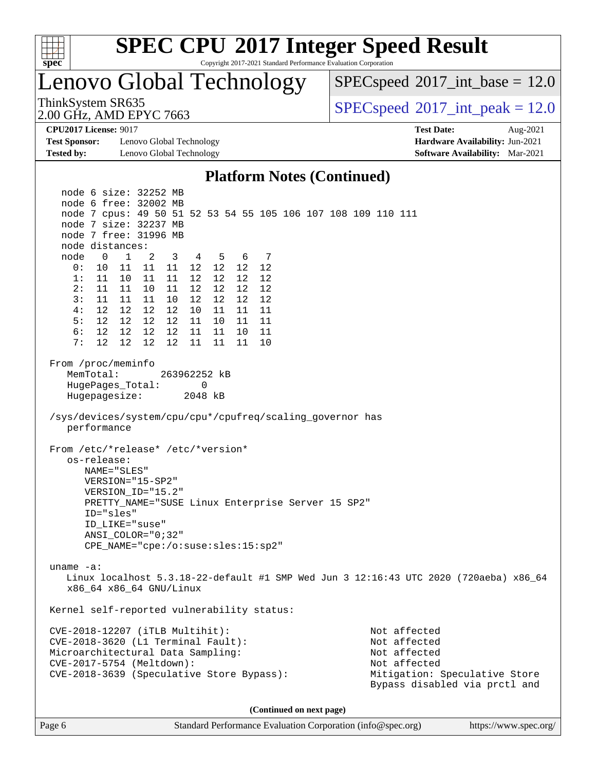

Copyright 2017-2021 Standard Performance Evaluation Corporation

Lenovo Global Technology

 $SPECspeed^{\circ}2017\_int\_base = 12.0$  $SPECspeed^{\circ}2017\_int\_base = 12.0$ 

2.00 GHz, AMD EPYC 7663

ThinkSystem SR635  $SPEC speed@2017$  int peak = 12.0

**[Test Sponsor:](http://www.spec.org/auto/cpu2017/Docs/result-fields.html#TestSponsor)** Lenovo Global Technology **[Hardware Availability:](http://www.spec.org/auto/cpu2017/Docs/result-fields.html#HardwareAvailability)** Jun-2021 **[Tested by:](http://www.spec.org/auto/cpu2017/Docs/result-fields.html#Testedby)** Lenovo Global Technology **[Software Availability:](http://www.spec.org/auto/cpu2017/Docs/result-fields.html#SoftwareAvailability)** Mar-2021

**[CPU2017 License:](http://www.spec.org/auto/cpu2017/Docs/result-fields.html#CPU2017License)** 9017 **[Test Date:](http://www.spec.org/auto/cpu2017/Docs/result-fields.html#TestDate)** Aug-2021

#### **[Platform Notes \(Continued\)](http://www.spec.org/auto/cpu2017/Docs/result-fields.html#PlatformNotes)**

 node 6 size: 32252 MB node 6 free: 32002 MB node 7 cpus: 49 50 51 52 53 54 55 105 106 107 108 109 110 111 node 7 size: 32237 MB node 7 free: 31996 MB node distances: node 0 1 2 3 4 5 6 7 0: 10 11 11 11 12 12 12 12 1: 11 10 11 11 12 12 12 12 2: 11 11 10 11 12 12 12 12 3: 11 11 11 10 12 12 12 12 4: 12 12 12 12 10 11 11 11 5: 12 12 12 12 11 10 11 11 6: 12 12 12 12 11 11 10 11 7: 12 12 12 12 11 11 11 10 From /proc/meminfo MemTotal: 263962252 kB HugePages\_Total: 0 Hugepagesize: 2048 kB /sys/devices/system/cpu/cpu\*/cpufreq/scaling\_governor has performance From /etc/\*release\* /etc/\*version\* os-release: NAME="SLES" VERSION="15-SP2" VERSION\_ID="15.2" PRETTY\_NAME="SUSE Linux Enterprise Server 15 SP2" ID="sles" ID\_LIKE="suse" ANSI\_COLOR="0;32" CPE\_NAME="cpe:/o:suse:sles:15:sp2" uname -a: Linux localhost 5.3.18-22-default #1 SMP Wed Jun 3 12:16:43 UTC 2020 (720aeba) x86\_64 x86\_64 x86\_64 GNU/Linux Kernel self-reported vulnerability status: CVE-2018-12207 (iTLB Multihit): Not affected CVE-2018-3620 (L1 Terminal Fault): Not affected Microarchitectural Data Sampling: Not affected CVE-2017-5754 (Meltdown): Not affected CVE-2018-3639 (Speculative Store Bypass): Mitigation: Speculative Store Bypass disabled via prctl and **(Continued on next page)**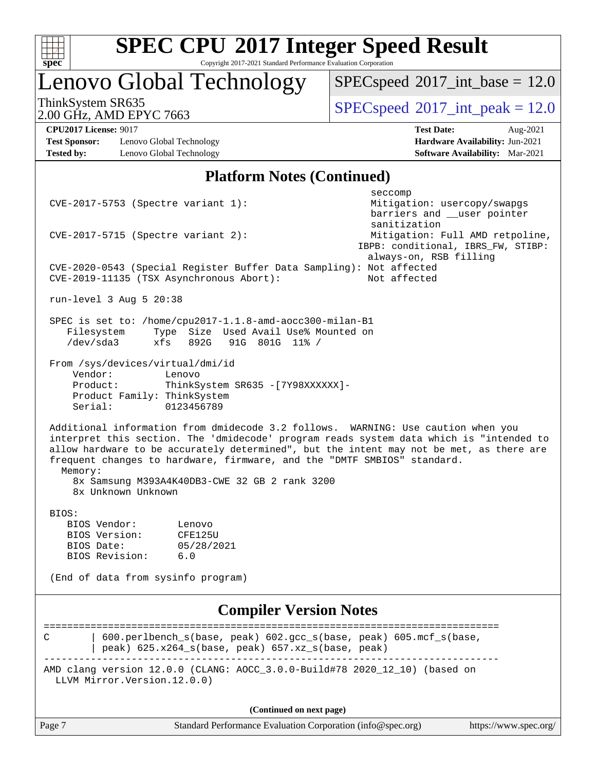

Copyright 2017-2021 Standard Performance Evaluation Corporation

## Lenovo Global Technology

 $SPECspeed^{\circ}2017\_int\_base = 12.0$  $SPECspeed^{\circ}2017\_int\_base = 12.0$ 

2.00 GHz, AMD EPYC 7663

ThinkSystem SR635  $SPEC speed@2017$  int peak = 12.0

**[Test Sponsor:](http://www.spec.org/auto/cpu2017/Docs/result-fields.html#TestSponsor)** Lenovo Global Technology **[Hardware Availability:](http://www.spec.org/auto/cpu2017/Docs/result-fields.html#HardwareAvailability)** Jun-2021 **[Tested by:](http://www.spec.org/auto/cpu2017/Docs/result-fields.html#Testedby)** Lenovo Global Technology **[Software Availability:](http://www.spec.org/auto/cpu2017/Docs/result-fields.html#SoftwareAvailability)** Mar-2021

**[CPU2017 License:](http://www.spec.org/auto/cpu2017/Docs/result-fields.html#CPU2017License)** 9017 **[Test Date:](http://www.spec.org/auto/cpu2017/Docs/result-fields.html#TestDate)** Aug-2021

### **[Platform Notes \(Continued\)](http://www.spec.org/auto/cpu2017/Docs/result-fields.html#PlatformNotes)**

Page 7 Standard Performance Evaluation Corporation [\(info@spec.org\)](mailto:info@spec.org) <https://www.spec.org/> seccompany and the contract of the contract of the contract of the second seconds of the contract of the contract of the contract of the contract of the contract of the contract of the contract of the contract of the contr CVE-2017-5753 (Spectre variant 1): Mitigation: usercopy/swapgs barriers and \_\_user pointer sanitization CVE-2017-5715 (Spectre variant 2): Mitigation: Full AMD retpoline, IBPB: conditional, IBRS\_FW, STIBP: always-on, RSB filling CVE-2020-0543 (Special Register Buffer Data Sampling): Not affected CVE-2019-11135 (TSX Asynchronous Abort): Not affected run-level 3 Aug 5 20:38 SPEC is set to: /home/cpu2017-1.1.8-amd-aocc300-milan-B1 Filesystem Type Size Used Avail Use% Mounted on<br>
/dev/sda3 xfs 892G 91G 801G 11% / /dev/sda3 xfs 892G 91G 801G 11% / From /sys/devices/virtual/dmi/id Vendor: Lenovo Product: ThinkSystem SR635 -[7Y98XXXXXX]- Product Family: ThinkSystem Serial: 0123456789 Additional information from dmidecode 3.2 follows. WARNING: Use caution when you interpret this section. The 'dmidecode' program reads system data which is "intended to allow hardware to be accurately determined", but the intent may not be met, as there are frequent changes to hardware, firmware, and the "DMTF SMBIOS" standard. Memory: 8x Samsung M393A4K40DB3-CWE 32 GB 2 rank 3200 8x Unknown Unknown BIOS: BIOS Vendor: Lenovo BIOS Version: CFE125U BIOS Date: 05/28/2021 BIOS Revision: 6.0 (End of data from sysinfo program) **[Compiler Version Notes](http://www.spec.org/auto/cpu2017/Docs/result-fields.html#CompilerVersionNotes)** ============================================================================== C | 600.perlbench\_s(base, peak) 602.gcc\_s(base, peak) 605.mcf\_s(base,  $|$  peak) 625.x264\_s(base, peak) 657.xz\_s(base, peak) ------------------------------------------------------------------------------ AMD clang version 12.0.0 (CLANG: AOCC\_3.0.0-Build#78 2020\_12\_10) (based on LLVM Mirror.Version.12.0.0) **(Continued on next page)**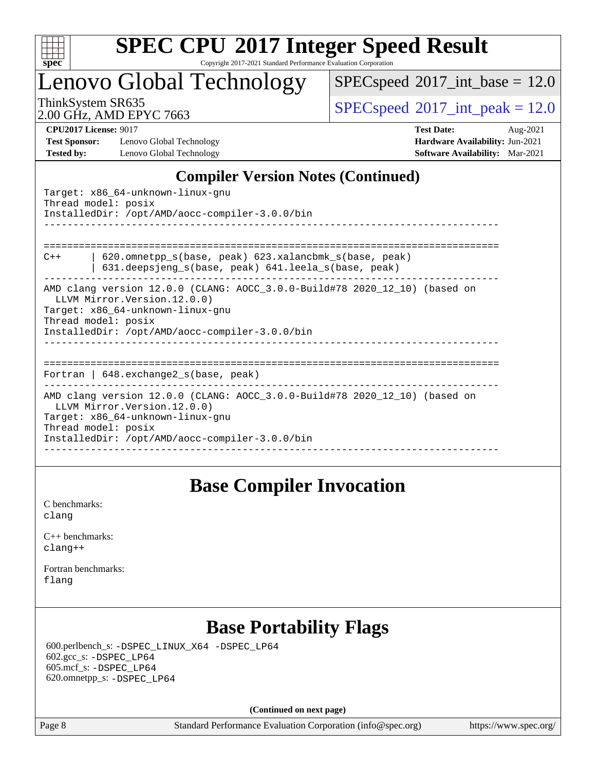

Copyright 2017-2021 Standard Performance Evaluation Corporation

Lenovo Global Technology

 $SPECspeed^{\circ}2017\_int\_base = 12.0$  $SPECspeed^{\circ}2017\_int\_base = 12.0$ 

2.00 GHz, AMD EPYC 7663

ThinkSystem SR635  $SPEC speed@2017$  int peak = 12.0

**[Test Sponsor:](http://www.spec.org/auto/cpu2017/Docs/result-fields.html#TestSponsor)** Lenovo Global Technology **[Hardware Availability:](http://www.spec.org/auto/cpu2017/Docs/result-fields.html#HardwareAvailability)** Jun-2021 **[Tested by:](http://www.spec.org/auto/cpu2017/Docs/result-fields.html#Testedby)** Lenovo Global Technology **[Software Availability:](http://www.spec.org/auto/cpu2017/Docs/result-fields.html#SoftwareAvailability)** Mar-2021

**[CPU2017 License:](http://www.spec.org/auto/cpu2017/Docs/result-fields.html#CPU2017License)** 9017 **[Test Date:](http://www.spec.org/auto/cpu2017/Docs/result-fields.html#TestDate)** Aug-2021

### **[Compiler Version Notes \(Continued\)](http://www.spec.org/auto/cpu2017/Docs/result-fields.html#CompilerVersionNotes)**

Target: x86\_64-unknown-linux-gnu Thread model: posix InstalledDir: /opt/AMD/aocc-compiler-3.0.0/bin ------------------------------------------------------------------------------ ============================================================================== C++ | 620.omnetpp\_s(base, peak) 623.xalancbmk\_s(base, peak) | 631.deepsjeng\_s(base, peak) 641.leela\_s(base, peak) ------------------------------------------------------------------------------ AMD clang version 12.0.0 (CLANG: AOCC\_3.0.0-Build#78 2020\_12\_10) (based on LLVM Mirror.Version.12.0.0) Target: x86\_64-unknown-linux-gnu Thread model: posix InstalledDir: /opt/AMD/aocc-compiler-3.0.0/bin ------------------------------------------------------------------------------ ============================================================================== Fortran | 648.exchange2\_s(base, peak) ------------------------------------------------------------------------------ AMD clang version 12.0.0 (CLANG: AOCC\_3.0.0-Build#78 2020\_12\_10) (based on LLVM Mirror.Version.12.0.0) Target: x86\_64-unknown-linux-gnu Thread model: posix InstalledDir: /opt/AMD/aocc-compiler-3.0.0/bin ------------------------------------------------------------------------------

### **[Base Compiler Invocation](http://www.spec.org/auto/cpu2017/Docs/result-fields.html#BaseCompilerInvocation)**

[C benchmarks](http://www.spec.org/auto/cpu2017/Docs/result-fields.html#Cbenchmarks): [clang](http://www.spec.org/cpu2017/results/res2021q3/cpu2017-20210816-28803.flags.html#user_CCbase_clang-c)

| $C_{++}$ benchmarks: |
|----------------------|
| clang++              |

[Fortran benchmarks](http://www.spec.org/auto/cpu2017/Docs/result-fields.html#Fortranbenchmarks): [flang](http://www.spec.org/cpu2017/results/res2021q3/cpu2017-20210816-28803.flags.html#user_FCbase_flang)

# **[Base Portability Flags](http://www.spec.org/auto/cpu2017/Docs/result-fields.html#BasePortabilityFlags)**

 600.perlbench\_s: [-DSPEC\\_LINUX\\_X64](http://www.spec.org/cpu2017/results/res2021q3/cpu2017-20210816-28803.flags.html#b600.perlbench_s_basePORTABILITY_DSPEC_LINUX_X64) [-DSPEC\\_LP64](http://www.spec.org/cpu2017/results/res2021q3/cpu2017-20210816-28803.flags.html#b600.perlbench_s_baseEXTRA_PORTABILITY_DSPEC_LP64) 602.gcc\_s: [-DSPEC\\_LP64](http://www.spec.org/cpu2017/results/res2021q3/cpu2017-20210816-28803.flags.html#suite_baseEXTRA_PORTABILITY602_gcc_s_DSPEC_LP64) 605.mcf\_s: [-DSPEC\\_LP64](http://www.spec.org/cpu2017/results/res2021q3/cpu2017-20210816-28803.flags.html#suite_baseEXTRA_PORTABILITY605_mcf_s_DSPEC_LP64) 620.omnetpp\_s: [-DSPEC\\_LP64](http://www.spec.org/cpu2017/results/res2021q3/cpu2017-20210816-28803.flags.html#suite_baseEXTRA_PORTABILITY620_omnetpp_s_DSPEC_LP64)

**(Continued on next page)**

Page 8 Standard Performance Evaluation Corporation [\(info@spec.org\)](mailto:info@spec.org) <https://www.spec.org/>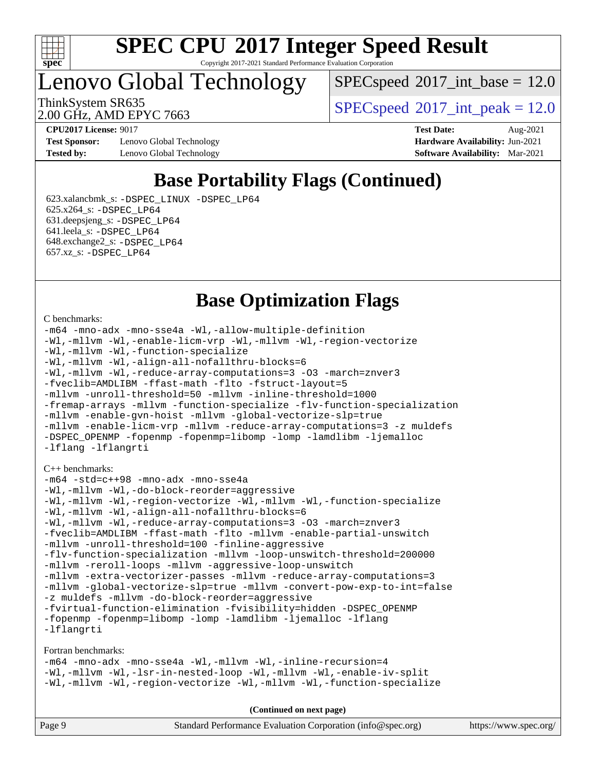

#### **[SPEC CPU](http://www.spec.org/auto/cpu2017/Docs/result-fields.html#SPECCPU2017IntegerSpeedResult)[2017 Integer Speed Result](http://www.spec.org/auto/cpu2017/Docs/result-fields.html#SPECCPU2017IntegerSpeedResult)** Copyright 2017-2021 Standard Performance Evaluation Corporation

Lenovo Global Technology

 $SPECspeed^{\circ}2017\_int\_base = 12.0$  $SPECspeed^{\circ}2017\_int\_base = 12.0$ 

2.00 GHz, AMD EPYC 7663

ThinkSystem SR635  $SPEC speed^{\circ}2017$ \_int\_peak = 12.0

**[Test Sponsor:](http://www.spec.org/auto/cpu2017/Docs/result-fields.html#TestSponsor)** Lenovo Global Technology **[Hardware Availability:](http://www.spec.org/auto/cpu2017/Docs/result-fields.html#HardwareAvailability)** Jun-2021 **[Tested by:](http://www.spec.org/auto/cpu2017/Docs/result-fields.html#Testedby)** Lenovo Global Technology **[Software Availability:](http://www.spec.org/auto/cpu2017/Docs/result-fields.html#SoftwareAvailability)** Mar-2021

**[CPU2017 License:](http://www.spec.org/auto/cpu2017/Docs/result-fields.html#CPU2017License)** 9017 **[Test Date:](http://www.spec.org/auto/cpu2017/Docs/result-fields.html#TestDate)** Aug-2021

### **[Base Portability Flags \(Continued\)](http://www.spec.org/auto/cpu2017/Docs/result-fields.html#BasePortabilityFlags)**

 623.xalancbmk\_s: [-DSPEC\\_LINUX](http://www.spec.org/cpu2017/results/res2021q3/cpu2017-20210816-28803.flags.html#b623.xalancbmk_s_basePORTABILITY_DSPEC_LINUX) [-DSPEC\\_LP64](http://www.spec.org/cpu2017/results/res2021q3/cpu2017-20210816-28803.flags.html#suite_baseEXTRA_PORTABILITY623_xalancbmk_s_DSPEC_LP64) 625.x264\_s: [-DSPEC\\_LP64](http://www.spec.org/cpu2017/results/res2021q3/cpu2017-20210816-28803.flags.html#suite_baseEXTRA_PORTABILITY625_x264_s_DSPEC_LP64) 631.deepsjeng\_s: [-DSPEC\\_LP64](http://www.spec.org/cpu2017/results/res2021q3/cpu2017-20210816-28803.flags.html#suite_baseEXTRA_PORTABILITY631_deepsjeng_s_DSPEC_LP64) 641.leela\_s: [-DSPEC\\_LP64](http://www.spec.org/cpu2017/results/res2021q3/cpu2017-20210816-28803.flags.html#suite_baseEXTRA_PORTABILITY641_leela_s_DSPEC_LP64) 648.exchange2\_s: [-DSPEC\\_LP64](http://www.spec.org/cpu2017/results/res2021q3/cpu2017-20210816-28803.flags.html#suite_baseEXTRA_PORTABILITY648_exchange2_s_DSPEC_LP64) 657.xz\_s: [-DSPEC\\_LP64](http://www.spec.org/cpu2017/results/res2021q3/cpu2017-20210816-28803.flags.html#suite_baseEXTRA_PORTABILITY657_xz_s_DSPEC_LP64)

### **[Base Optimization Flags](http://www.spec.org/auto/cpu2017/Docs/result-fields.html#BaseOptimizationFlags)**

#### [C benchmarks](http://www.spec.org/auto/cpu2017/Docs/result-fields.html#Cbenchmarks):

```
-m64 -mno-adx -mno-sse4a -Wl,-allow-multiple-definition
-Wl,-mllvm -Wl,-enable-licm-vrp -Wl,-mllvm -Wl,-region-vectorize
-Wl,-mllvm -Wl,-function-specialize
-Wl,-mllvm -Wl,-align-all-nofallthru-blocks=6
-Wl,-mllvm -Wl,-reduce-array-computations=3 -O3 -march=znver3
-fveclib=AMDLIBM -ffast-math -flto -fstruct-layout=5
-mllvm -unroll-threshold=50 -mllvm -inline-threshold=1000
-fremap-arrays -mllvm -function-specialize -flv-function-specialization
-mllvm -enable-gvn-hoist -mllvm -global-vectorize-slp=true
-mllvm -enable-licm-vrp -mllvm -reduce-array-computations=3 -z muldefs
-DSPEC_OPENMP -fopenmp -fopenmp=libomp -lomp -lamdlibm -ljemalloc
-lflang -lflangrti
C++ benchmarks: 
-m64 -std=c++98 -mno-adx -mno-sse4a
-Wl,-mllvm -Wl,-do-block-reorder=aggressive
-Wl,-mllvm -Wl,-region-vectorize -Wl,-mllvm -Wl,-function-specialize
-Wl,-mllvm -Wl,-align-all-nofallthru-blocks=6
-Wl,-mllvm -Wl,-reduce-array-computations=3 -O3 -march=znver3
-fveclib=AMDLIBM -ffast-math -flto -mllvm -enable-partial-unswitch
-mllvm -unroll-threshold=100 -finline-aggressive
-flv-function-specialization -mllvm -loop-unswitch-threshold=200000
-mllvm -reroll-loops -mllvm -aggressive-loop-unswitch
-mllvm -extra-vectorizer-passes -mllvm -reduce-array-computations=3
-mllvm -global-vectorize-slp=true -mllvm -convert-pow-exp-to-int=false
-z muldefs -mllvm -do-block-reorder=aggressive
-fvirtual-function-elimination -fvisibility=hidden -DSPEC_OPENMP
-fopenmp -fopenmp=libomp -lomp -lamdlibm -ljemalloc -lflang
-lflangrti
```
[Fortran benchmarks](http://www.spec.org/auto/cpu2017/Docs/result-fields.html#Fortranbenchmarks):

[-m64](http://www.spec.org/cpu2017/results/res2021q3/cpu2017-20210816-28803.flags.html#user_FCbase_F-m64) [-mno-adx](http://www.spec.org/cpu2017/results/res2021q3/cpu2017-20210816-28803.flags.html#user_FCbase_F-mno-adx) [-mno-sse4a](http://www.spec.org/cpu2017/results/res2021q3/cpu2017-20210816-28803.flags.html#user_FCbase_F-mno-sse4a) [-Wl,-mllvm -Wl,-inline-recursion=4](http://www.spec.org/cpu2017/results/res2021q3/cpu2017-20210816-28803.flags.html#user_FCbase_F-inline-recursion) [-Wl,-mllvm -Wl,-lsr-in-nested-loop](http://www.spec.org/cpu2017/results/res2021q3/cpu2017-20210816-28803.flags.html#user_FCbase_F-lsr-in-nested-loop) [-Wl,-mllvm -Wl,-enable-iv-split](http://www.spec.org/cpu2017/results/res2021q3/cpu2017-20210816-28803.flags.html#user_FCbase_F-enable-iv-split) [-Wl,-mllvm -Wl,-region-vectorize](http://www.spec.org/cpu2017/results/res2021q3/cpu2017-20210816-28803.flags.html#user_FCbase_F-region-vectorize_fb6c6b5aa293c88efc6c7c2b52b20755e943585b1fe8658c35afef78727fff56e1a56891413c30e36b8e2a6f9a71126986319243e80eb6110b78b288f533c52b) [-Wl,-mllvm -Wl,-function-specialize](http://www.spec.org/cpu2017/results/res2021q3/cpu2017-20210816-28803.flags.html#user_FCbase_F-function-specialize_7e7e661e57922243ee67c9a1251cb8910e607325179a0ce7f2884e09a6f5d4a5ef0ae4f37e8a2a11c95fc48e931f06dc2b6016f14b511fcb441e048bef1b065a)

| Page 9 | Standard Performance Evaluation Corporation (info@spec.org) | https://www.spec.org/ |
|--------|-------------------------------------------------------------|-----------------------|
|--------|-------------------------------------------------------------|-----------------------|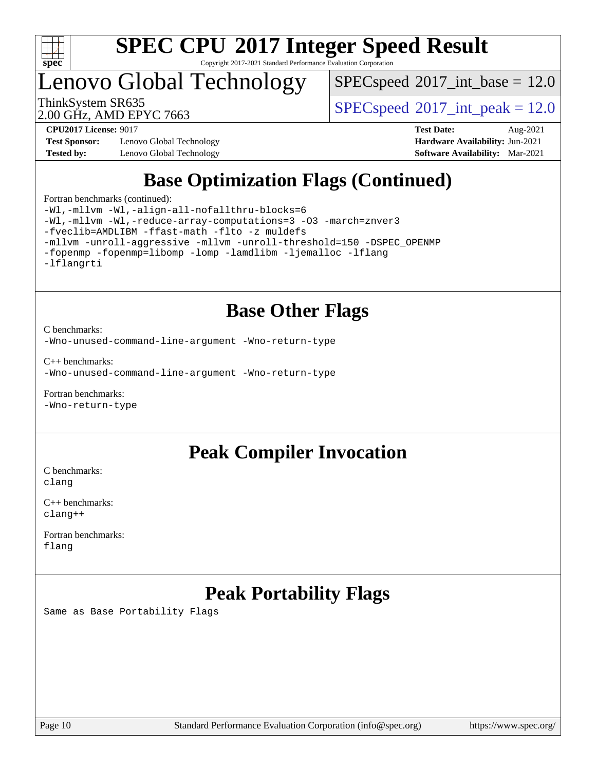

Copyright 2017-2021 Standard Performance Evaluation Corporation

# Lenovo Global Technology

 $SPECspeed^{\circ}2017\_int\_base = 12.0$  $SPECspeed^{\circ}2017\_int\_base = 12.0$ 

2.00 GHz, AMD EPYC 7663

ThinkSystem SR635  $SPEC speed@2017$  int peak = 12.0

**[Test Sponsor:](http://www.spec.org/auto/cpu2017/Docs/result-fields.html#TestSponsor)** Lenovo Global Technology **[Hardware Availability:](http://www.spec.org/auto/cpu2017/Docs/result-fields.html#HardwareAvailability)** Jun-2021 **[Tested by:](http://www.spec.org/auto/cpu2017/Docs/result-fields.html#Testedby)** Lenovo Global Technology **[Software Availability:](http://www.spec.org/auto/cpu2017/Docs/result-fields.html#SoftwareAvailability)** Mar-2021

**[CPU2017 License:](http://www.spec.org/auto/cpu2017/Docs/result-fields.html#CPU2017License)** 9017 **[Test Date:](http://www.spec.org/auto/cpu2017/Docs/result-fields.html#TestDate)** Aug-2021

## **[Base Optimization Flags \(Continued\)](http://www.spec.org/auto/cpu2017/Docs/result-fields.html#BaseOptimizationFlags)**

[Fortran benchmarks](http://www.spec.org/auto/cpu2017/Docs/result-fields.html#Fortranbenchmarks) (continued):

[-Wl,-mllvm -Wl,-align-all-nofallthru-blocks=6](http://www.spec.org/cpu2017/results/res2021q3/cpu2017-20210816-28803.flags.html#user_FCbase_F-align-all-nofallthru-blocks) [-Wl,-mllvm -Wl,-reduce-array-computations=3](http://www.spec.org/cpu2017/results/res2021q3/cpu2017-20210816-28803.flags.html#user_FCbase_F-reduce-array-computations_b882aefe7a5dda4e33149f6299762b9a720dace3e498e13756f4c04e5a19edf5315c1f3993de2e61ec41e8c206231f84e05da7040e1bb5d69ba27d10a12507e4) [-O3](http://www.spec.org/cpu2017/results/res2021q3/cpu2017-20210816-28803.flags.html#user_FCbase_F-O3) [-march=znver3](http://www.spec.org/cpu2017/results/res2021q3/cpu2017-20210816-28803.flags.html#user_FCbase_aocc-march) [-fveclib=AMDLIBM](http://www.spec.org/cpu2017/results/res2021q3/cpu2017-20210816-28803.flags.html#user_FCbase_F-fveclib) [-ffast-math](http://www.spec.org/cpu2017/results/res2021q3/cpu2017-20210816-28803.flags.html#user_FCbase_aocc-ffast-math) [-flto](http://www.spec.org/cpu2017/results/res2021q3/cpu2017-20210816-28803.flags.html#user_FCbase_aocc-flto) [-z muldefs](http://www.spec.org/cpu2017/results/res2021q3/cpu2017-20210816-28803.flags.html#user_FCbase_aocc-muldefs) [-mllvm -unroll-aggressive](http://www.spec.org/cpu2017/results/res2021q3/cpu2017-20210816-28803.flags.html#user_FCbase_F-unroll-aggressive) [-mllvm -unroll-threshold=150](http://www.spec.org/cpu2017/results/res2021q3/cpu2017-20210816-28803.flags.html#user_FCbase_F-unroll-threshold_3352736ce55666ed13437f5f5fd6693920e68d4dfd26bba42492bb1c46b6d7692ff5ba7bd4d2ebdab48d140ca981a39154ff0664b4d322a66fc3d1aafa4d7ffe) [-DSPEC\\_OPENMP](http://www.spec.org/cpu2017/results/res2021q3/cpu2017-20210816-28803.flags.html#suite_FCbase_DSPEC_OPENMP) [-fopenmp](http://www.spec.org/cpu2017/results/res2021q3/cpu2017-20210816-28803.flags.html#user_FCbase_aocc-fopenmp) [-fopenmp=libomp](http://www.spec.org/cpu2017/results/res2021q3/cpu2017-20210816-28803.flags.html#user_FCbase_aocc-fopenmp_3eb6ab80166bcc84161ff8c20c8d5bc344f88119f45620444596454f7d72e99b7a0ceefc2d1b4d190bd07306bbfdfc20f11f5a2dc69c9b03c72239f8406741c3) [-lomp](http://www.spec.org/cpu2017/results/res2021q3/cpu2017-20210816-28803.flags.html#user_FCbase_F-lomp) [-lamdlibm](http://www.spec.org/cpu2017/results/res2021q3/cpu2017-20210816-28803.flags.html#user_FCbase_F-lamdlibm) [-ljemalloc](http://www.spec.org/cpu2017/results/res2021q3/cpu2017-20210816-28803.flags.html#user_FCbase_jemalloc-lib) [-lflang](http://www.spec.org/cpu2017/results/res2021q3/cpu2017-20210816-28803.flags.html#user_FCbase_F-lflang) [-lflangrti](http://www.spec.org/cpu2017/results/res2021q3/cpu2017-20210816-28803.flags.html#user_FCbase_F-lflangrti)

### **[Base Other Flags](http://www.spec.org/auto/cpu2017/Docs/result-fields.html#BaseOtherFlags)**

[C benchmarks](http://www.spec.org/auto/cpu2017/Docs/result-fields.html#Cbenchmarks):

[-Wno-unused-command-line-argument](http://www.spec.org/cpu2017/results/res2021q3/cpu2017-20210816-28803.flags.html#user_CCbase_F-Wno-unused-command-line-argument) [-Wno-return-type](http://www.spec.org/cpu2017/results/res2021q3/cpu2017-20210816-28803.flags.html#user_CCbase_F-Waocc-no-return-type)

[C++ benchmarks:](http://www.spec.org/auto/cpu2017/Docs/result-fields.html#CXXbenchmarks) [-Wno-unused-command-line-argument](http://www.spec.org/cpu2017/results/res2021q3/cpu2017-20210816-28803.flags.html#user_CXXbase_F-Wno-unused-command-line-argument) [-Wno-return-type](http://www.spec.org/cpu2017/results/res2021q3/cpu2017-20210816-28803.flags.html#user_CXXbase_F-Waocc-no-return-type)

[Fortran benchmarks](http://www.spec.org/auto/cpu2017/Docs/result-fields.html#Fortranbenchmarks): [-Wno-return-type](http://www.spec.org/cpu2017/results/res2021q3/cpu2017-20210816-28803.flags.html#user_FCbase_F-Waocc-no-return-type)

### **[Peak Compiler Invocation](http://www.spec.org/auto/cpu2017/Docs/result-fields.html#PeakCompilerInvocation)**

[C benchmarks](http://www.spec.org/auto/cpu2017/Docs/result-fields.html#Cbenchmarks): [clang](http://www.spec.org/cpu2017/results/res2021q3/cpu2017-20210816-28803.flags.html#user_CCpeak_clang-c)

[C++ benchmarks:](http://www.spec.org/auto/cpu2017/Docs/result-fields.html#CXXbenchmarks) [clang++](http://www.spec.org/cpu2017/results/res2021q3/cpu2017-20210816-28803.flags.html#user_CXXpeak_clang-cpp)

[Fortran benchmarks](http://www.spec.org/auto/cpu2017/Docs/result-fields.html#Fortranbenchmarks): [flang](http://www.spec.org/cpu2017/results/res2021q3/cpu2017-20210816-28803.flags.html#user_FCpeak_flang)

# **[Peak Portability Flags](http://www.spec.org/auto/cpu2017/Docs/result-fields.html#PeakPortabilityFlags)**

Same as Base Portability Flags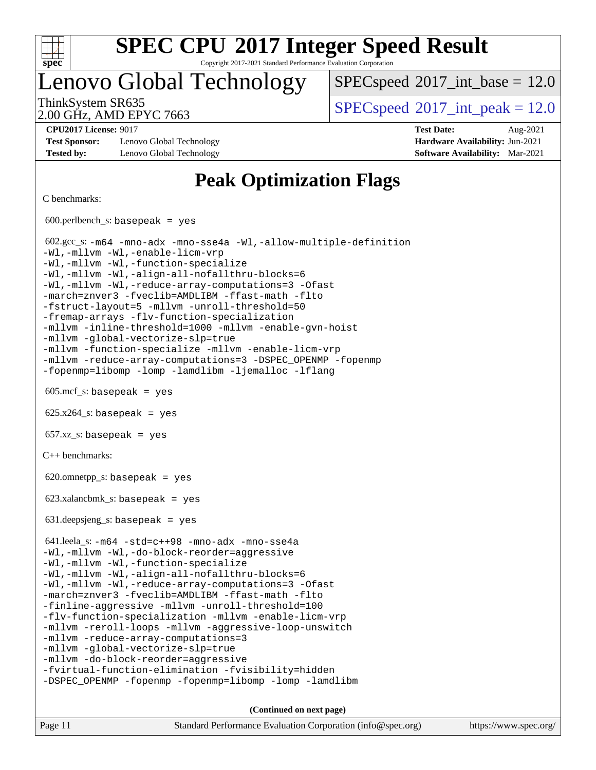

Copyright 2017-2021 Standard Performance Evaluation Corporation

Lenovo Global Technology

 $SPECspeed^{\circ}2017\_int\_base = 12.0$  $SPECspeed^{\circ}2017\_int\_base = 12.0$ 

2.00 GHz, AMD EPYC 7663

ThinkSystem SR635  $SPEC speed@2017$  int peak = 12.0

**[Test Sponsor:](http://www.spec.org/auto/cpu2017/Docs/result-fields.html#TestSponsor)** Lenovo Global Technology **[Hardware Availability:](http://www.spec.org/auto/cpu2017/Docs/result-fields.html#HardwareAvailability)** Jun-2021 **[Tested by:](http://www.spec.org/auto/cpu2017/Docs/result-fields.html#Testedby)** Lenovo Global Technology **[Software Availability:](http://www.spec.org/auto/cpu2017/Docs/result-fields.html#SoftwareAvailability)** Mar-2021

**[CPU2017 License:](http://www.spec.org/auto/cpu2017/Docs/result-fields.html#CPU2017License)** 9017 **[Test Date:](http://www.spec.org/auto/cpu2017/Docs/result-fields.html#TestDate)** Aug-2021

### **[Peak Optimization Flags](http://www.spec.org/auto/cpu2017/Docs/result-fields.html#PeakOptimizationFlags)**

[C benchmarks](http://www.spec.org/auto/cpu2017/Docs/result-fields.html#Cbenchmarks):

 $600.$ perlbench\_s: basepeak = yes 602.gcc\_s: [-m64](http://www.spec.org/cpu2017/results/res2021q3/cpu2017-20210816-28803.flags.html#user_peakCCLD602_gcc_s_F-m64) [-mno-adx](http://www.spec.org/cpu2017/results/res2021q3/cpu2017-20210816-28803.flags.html#user_peakCC602_gcc_s_F-mno-adx) [-mno-sse4a](http://www.spec.org/cpu2017/results/res2021q3/cpu2017-20210816-28803.flags.html#user_peakCC602_gcc_s_F-mno-sse4a) [-Wl,-allow-multiple-definition](http://www.spec.org/cpu2017/results/res2021q3/cpu2017-20210816-28803.flags.html#user_peakLDCFLAGS602_gcc_s_F-allow-multiple-definition_970930b9380f536892d286f43fe3aa60143711811517403e860b887d69527ebeb0ce7f1b66302f2a87b3cab7b5adae5fa57fa46168627b86a7718b21636cd604) [-Wl,-mllvm -Wl,-enable-licm-vrp](http://www.spec.org/cpu2017/results/res2021q3/cpu2017-20210816-28803.flags.html#user_peakLDCFLAGS602_gcc_s_F-enable-licm-vrp_65c4fc69039207ec88421e1591ba3bbf2ac715c2f390cac268ece6f40ae7757bd65f971ef38c9b70aedd2bf37e4037d3d64a7fe88db6aed78b6f244274772259) [-Wl,-mllvm -Wl,-function-specialize](http://www.spec.org/cpu2017/results/res2021q3/cpu2017-20210816-28803.flags.html#user_peakEXTRA_LDFLAGS602_gcc_s_F-function-specialize_7e7e661e57922243ee67c9a1251cb8910e607325179a0ce7f2884e09a6f5d4a5ef0ae4f37e8a2a11c95fc48e931f06dc2b6016f14b511fcb441e048bef1b065a) [-Wl,-mllvm -Wl,-align-all-nofallthru-blocks=6](http://www.spec.org/cpu2017/results/res2021q3/cpu2017-20210816-28803.flags.html#user_peakEXTRA_LDFLAGS602_gcc_s_F-align-all-nofallthru-blocks) [-Wl,-mllvm -Wl,-reduce-array-computations=3](http://www.spec.org/cpu2017/results/res2021q3/cpu2017-20210816-28803.flags.html#user_peakEXTRA_LDFLAGS602_gcc_s_F-reduce-array-computations_b882aefe7a5dda4e33149f6299762b9a720dace3e498e13756f4c04e5a19edf5315c1f3993de2e61ec41e8c206231f84e05da7040e1bb5d69ba27d10a12507e4) [-Ofast](http://www.spec.org/cpu2017/results/res2021q3/cpu2017-20210816-28803.flags.html#user_peakCOPTIMIZE602_gcc_s_aocc-Ofast) [-march=znver3](http://www.spec.org/cpu2017/results/res2021q3/cpu2017-20210816-28803.flags.html#user_peakCOPTIMIZE602_gcc_s_aocc-march) [-fveclib=AMDLIBM](http://www.spec.org/cpu2017/results/res2021q3/cpu2017-20210816-28803.flags.html#user_peakCOPTIMIZE602_gcc_s_F-fveclib) [-ffast-math](http://www.spec.org/cpu2017/results/res2021q3/cpu2017-20210816-28803.flags.html#user_peakCOPTIMIZE602_gcc_s_aocc-ffast-math) [-flto](http://www.spec.org/cpu2017/results/res2021q3/cpu2017-20210816-28803.flags.html#user_peakCOPTIMIZE602_gcc_s_aocc-flto) [-fstruct-layout=5](http://www.spec.org/cpu2017/results/res2021q3/cpu2017-20210816-28803.flags.html#user_peakCOPTIMIZE602_gcc_s_F-struct-layout) [-mllvm -unroll-threshold=50](http://www.spec.org/cpu2017/results/res2021q3/cpu2017-20210816-28803.flags.html#user_peakCOPTIMIZE602_gcc_s_F-unroll-threshold_458874500b2c105d6d5cb4d7a611c40e2b16e9e3d26b355fea72d644c3673b4de4b3932662f0ed3dbec75c491a13da2d2ca81180bd779dc531083ef1e1e549dc) [-fremap-arrays](http://www.spec.org/cpu2017/results/res2021q3/cpu2017-20210816-28803.flags.html#user_peakCOPTIMIZE602_gcc_s_F-fremap-arrays) [-flv-function-specialization](http://www.spec.org/cpu2017/results/res2021q3/cpu2017-20210816-28803.flags.html#user_peakCOPTIMIZE602_gcc_s_F-flv-function-specialization) [-mllvm -inline-threshold=1000](http://www.spec.org/cpu2017/results/res2021q3/cpu2017-20210816-28803.flags.html#user_peakCOPTIMIZE602_gcc_s_F-inline-threshold_b7832241b0a6397e4ecdbaf0eb7defdc10f885c2a282fa3240fdc99844d543fda39cf8a4a9dccf68cf19b5438ac3b455264f478df15da0f4988afa40d8243bab) [-mllvm -enable-gvn-hoist](http://www.spec.org/cpu2017/results/res2021q3/cpu2017-20210816-28803.flags.html#user_peakCOPTIMIZE602_gcc_s_F-enable-gvn-hoist_e5856354646dd6ca1333a0ad99b817e4cf8932b91b82809fd8fd47ceff7b22a89eba5c98fd3e3fa5200368fd772cec3dd56abc3c8f7b655a71b9f9848dddedd5) [-mllvm -global-vectorize-slp=true](http://www.spec.org/cpu2017/results/res2021q3/cpu2017-20210816-28803.flags.html#user_peakCOPTIMIZE602_gcc_s_F-global-vectorize-slp_f701c289ed3fc79483844cad3672606d268e3123d2651e764a36e57810b634b30ff7af25c43ce4288d0e4c1cc47ba156fce6ed971bc0d0e53c4c557f353d3dec) [-mllvm -function-specialize](http://www.spec.org/cpu2017/results/res2021q3/cpu2017-20210816-28803.flags.html#user_peakCOPTIMIZE602_gcc_s_F-function-specialize_233b3bdba86027f1b094368157e481c5bc59f40286dc25bfadc1858dcd5745c24fd30d5f188710db7fea399bcc9f44a80b3ce3aacc70a8870250c3ae5e1f35b8) [-mllvm -enable-licm-vrp](http://www.spec.org/cpu2017/results/res2021q3/cpu2017-20210816-28803.flags.html#user_peakCOPTIMIZE602_gcc_s_F-enable-licm-vrp_82fd83574dee81d8c8043a1355024a53ba7c23d449242d72368fd778ae4cd8625fb6c8e473e88c632367ccc13b0c321b9a13b8db897fcfc1592cf0205fd356b5) [-mllvm -reduce-array-computations=3](http://www.spec.org/cpu2017/results/res2021q3/cpu2017-20210816-28803.flags.html#user_peakCOPTIMIZE602_gcc_s_F-reduce-array-computations) [-DSPEC\\_OPENMP](http://www.spec.org/cpu2017/results/res2021q3/cpu2017-20210816-28803.flags.html#suite_peakEXTRA_OPTIMIZE602_gcc_s_DSPEC_OPENMP) [-fopenmp](http://www.spec.org/cpu2017/results/res2021q3/cpu2017-20210816-28803.flags.html#user_peakEXTRA_OPTIMIZE602_gcc_s_aocc-fopenmp) [-fopenmp=libomp](http://www.spec.org/cpu2017/results/res2021q3/cpu2017-20210816-28803.flags.html#user_peakEXTRA_LIBS602_gcc_s_aocc-fopenmp_3eb6ab80166bcc84161ff8c20c8d5bc344f88119f45620444596454f7d72e99b7a0ceefc2d1b4d190bd07306bbfdfc20f11f5a2dc69c9b03c72239f8406741c3) [-lomp](http://www.spec.org/cpu2017/results/res2021q3/cpu2017-20210816-28803.flags.html#user_peakEXTRA_LIBS602_gcc_s_F-lomp) [-lamdlibm](http://www.spec.org/cpu2017/results/res2021q3/cpu2017-20210816-28803.flags.html#user_peakEXTRA_LIBS602_gcc_s_F-lamdlibm) [-ljemalloc](http://www.spec.org/cpu2017/results/res2021q3/cpu2017-20210816-28803.flags.html#user_peakEXTRA_LIBS602_gcc_s_jemalloc-lib) [-lflang](http://www.spec.org/cpu2017/results/res2021q3/cpu2017-20210816-28803.flags.html#user_peakEXTRA_LIBS602_gcc_s_F-lflang)  $605 \text{.mcf}\text{-}\mathrm{s}$ : basepeak = yes  $625.x264_s$ : basepeak = yes  $657.xz_s$ : basepeak = yes [C++ benchmarks:](http://www.spec.org/auto/cpu2017/Docs/result-fields.html#CXXbenchmarks)  $620.$ omnetpp\_s: basepeak = yes 623.xalancbmk\_s: basepeak = yes 631.deepsjeng\_s: basepeak = yes 641.leela\_s: [-m64](http://www.spec.org/cpu2017/results/res2021q3/cpu2017-20210816-28803.flags.html#user_peakCXXLD641_leela_s_F-m64) [-std=c++98](http://www.spec.org/cpu2017/results/res2021q3/cpu2017-20210816-28803.flags.html#user_peakCXX641_leela_s_std-cpp) [-mno-adx](http://www.spec.org/cpu2017/results/res2021q3/cpu2017-20210816-28803.flags.html#user_peakCXX641_leela_s_F-mno-adx) [-mno-sse4a](http://www.spec.org/cpu2017/results/res2021q3/cpu2017-20210816-28803.flags.html#user_peakCXX641_leela_s_F-mno-sse4a) [-Wl,-mllvm -Wl,-do-block-reorder=aggressive](http://www.spec.org/cpu2017/results/res2021q3/cpu2017-20210816-28803.flags.html#user_peakLDCXXFLAGS641_leela_s_F-do-block-reorder_5f74e61ee573767a7a801151b896942f7b82b19d6cd9bf8ce970c1e994a093b9201db6c2ab0fa62493e8c1b02c988fb29421a5aa214bf67b5398dfa89747b1b3) [-Wl,-mllvm -Wl,-function-specialize](http://www.spec.org/cpu2017/results/res2021q3/cpu2017-20210816-28803.flags.html#user_peakEXTRA_LDFLAGS641_leela_s_F-function-specialize_7e7e661e57922243ee67c9a1251cb8910e607325179a0ce7f2884e09a6f5d4a5ef0ae4f37e8a2a11c95fc48e931f06dc2b6016f14b511fcb441e048bef1b065a) [-Wl,-mllvm -Wl,-align-all-nofallthru-blocks=6](http://www.spec.org/cpu2017/results/res2021q3/cpu2017-20210816-28803.flags.html#user_peakEXTRA_LDFLAGS641_leela_s_F-align-all-nofallthru-blocks) [-Wl,-mllvm -Wl,-reduce-array-computations=3](http://www.spec.org/cpu2017/results/res2021q3/cpu2017-20210816-28803.flags.html#user_peakEXTRA_LDFLAGS641_leela_s_F-reduce-array-computations_b882aefe7a5dda4e33149f6299762b9a720dace3e498e13756f4c04e5a19edf5315c1f3993de2e61ec41e8c206231f84e05da7040e1bb5d69ba27d10a12507e4) [-Ofast](http://www.spec.org/cpu2017/results/res2021q3/cpu2017-20210816-28803.flags.html#user_peakCXXOPTIMIZE641_leela_s_aocc-Ofast) [-march=znver3](http://www.spec.org/cpu2017/results/res2021q3/cpu2017-20210816-28803.flags.html#user_peakCXXOPTIMIZE641_leela_s_aocc-march) [-fveclib=AMDLIBM](http://www.spec.org/cpu2017/results/res2021q3/cpu2017-20210816-28803.flags.html#user_peakCXXOPTIMIZE641_leela_s_F-fveclib) [-ffast-math](http://www.spec.org/cpu2017/results/res2021q3/cpu2017-20210816-28803.flags.html#user_peakCXXOPTIMIZE641_leela_s_aocc-ffast-math) [-flto](http://www.spec.org/cpu2017/results/res2021q3/cpu2017-20210816-28803.flags.html#user_peakCXXOPTIMIZE641_leela_s_aocc-flto) [-finline-aggressive](http://www.spec.org/cpu2017/results/res2021q3/cpu2017-20210816-28803.flags.html#user_peakCXXOPTIMIZE641_leela_s_F-finline-aggressive) [-mllvm -unroll-threshold=100](http://www.spec.org/cpu2017/results/res2021q3/cpu2017-20210816-28803.flags.html#user_peakCXXOPTIMIZE641_leela_s_F-unroll-threshold) [-flv-function-specialization](http://www.spec.org/cpu2017/results/res2021q3/cpu2017-20210816-28803.flags.html#user_peakCXXOPTIMIZE641_leela_s_F-flv-function-specialization) [-mllvm -enable-licm-vrp](http://www.spec.org/cpu2017/results/res2021q3/cpu2017-20210816-28803.flags.html#user_peakCXXOPTIMIZE641_leela_s_F-enable-licm-vrp_82fd83574dee81d8c8043a1355024a53ba7c23d449242d72368fd778ae4cd8625fb6c8e473e88c632367ccc13b0c321b9a13b8db897fcfc1592cf0205fd356b5) [-mllvm -reroll-loops](http://www.spec.org/cpu2017/results/res2021q3/cpu2017-20210816-28803.flags.html#user_peakCXXOPTIMIZE641_leela_s_F-reroll-loops) [-mllvm -aggressive-loop-unswitch](http://www.spec.org/cpu2017/results/res2021q3/cpu2017-20210816-28803.flags.html#user_peakCXXOPTIMIZE641_leela_s_F-aggressive-loop-unswitch_abd8177005d493f9a81f88ae32814acdc0422950e54bc53b0605c538e2e7549eb43d48c826089056b98aa2f0c142dc7ed1401fa1c97db9286a8c3ff748437b59) [-mllvm -reduce-array-computations=3](http://www.spec.org/cpu2017/results/res2021q3/cpu2017-20210816-28803.flags.html#user_peakCXXOPTIMIZE641_leela_s_F-reduce-array-computations) [-mllvm -global-vectorize-slp=true](http://www.spec.org/cpu2017/results/res2021q3/cpu2017-20210816-28803.flags.html#user_peakCXXOPTIMIZE641_leela_s_F-global-vectorize-slp_f701c289ed3fc79483844cad3672606d268e3123d2651e764a36e57810b634b30ff7af25c43ce4288d0e4c1cc47ba156fce6ed971bc0d0e53c4c557f353d3dec) [-mllvm -do-block-reorder=aggressive](http://www.spec.org/cpu2017/results/res2021q3/cpu2017-20210816-28803.flags.html#user_peakEXTRA_CXXFLAGS641_leela_s_F-do-block-reorder) [-fvirtual-function-elimination](http://www.spec.org/cpu2017/results/res2021q3/cpu2017-20210816-28803.flags.html#user_peakEXTRA_CXXFLAGS641_leela_s_F-fvirtual-function-elimination) [-fvisibility=hidden](http://www.spec.org/cpu2017/results/res2021q3/cpu2017-20210816-28803.flags.html#user_peakEXTRA_CXXFLAGS641_leela_s_F-fvisibility) [-DSPEC\\_OPENMP](http://www.spec.org/cpu2017/results/res2021q3/cpu2017-20210816-28803.flags.html#suite_peakEXTRA_OPTIMIZE641_leela_s_DSPEC_OPENMP) [-fopenmp](http://www.spec.org/cpu2017/results/res2021q3/cpu2017-20210816-28803.flags.html#user_peakEXTRA_OPTIMIZE641_leela_s_aocc-fopenmp) [-fopenmp=libomp](http://www.spec.org/cpu2017/results/res2021q3/cpu2017-20210816-28803.flags.html#user_peakEXTRA_LIBS641_leela_s_aocc-fopenmp_3eb6ab80166bcc84161ff8c20c8d5bc344f88119f45620444596454f7d72e99b7a0ceefc2d1b4d190bd07306bbfdfc20f11f5a2dc69c9b03c72239f8406741c3) [-lomp](http://www.spec.org/cpu2017/results/res2021q3/cpu2017-20210816-28803.flags.html#user_peakEXTRA_LIBS641_leela_s_F-lomp) [-lamdlibm](http://www.spec.org/cpu2017/results/res2021q3/cpu2017-20210816-28803.flags.html#user_peakEXTRA_LIBS641_leela_s_F-lamdlibm)